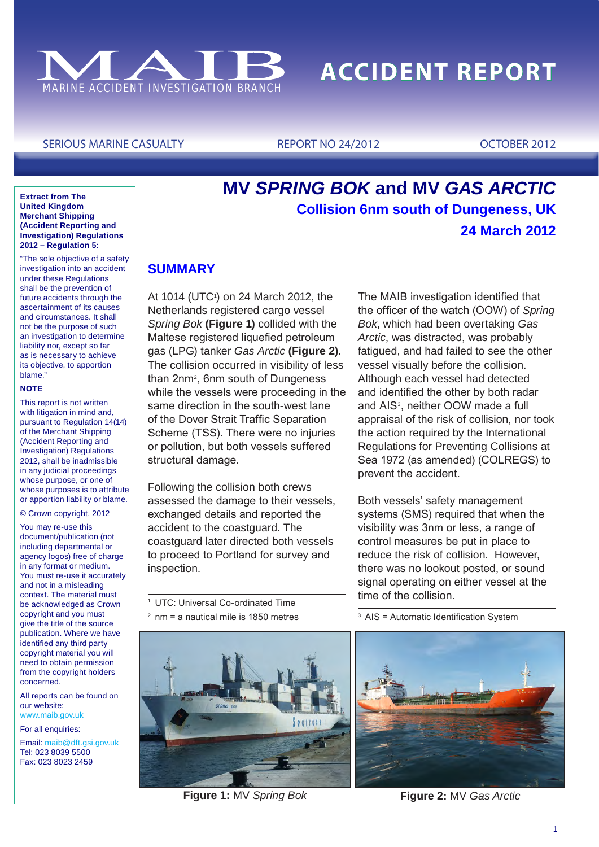

# **ACCIDENT REPORT**

#### SERIOUS MARINE CASUALTY REPORT NO 24/2012 QCTOBER 2012

#### **Extract from The United Kingdom Merchant Shipping (Accident Reporting and Investigation) Regulations 2012 – Regulation 5:**

"The sole objective of a safety investigation into an accident under these Regulations shall be the prevention of future accidents through the ascertainment of its causes and circumstances. It shall not be the purpose of such an investigation to determine liability nor, except so far as is necessary to achieve its objective, to apportion blame."

#### **NOTE**

This report is not written with litigation in mind and, pursuant to Regulation 14(14) of the Merchant Shipping (Accident Reporting and Investigation) Regulations 2012, shall be inadmissible in any judicial proceedings whose purpose, or one of whose purposes is to attribute or apportion liability or blame.

#### © Crown copyright, 2012

You may re-use this document/publication (not including departmental or agency logos) free of charge in any format or medium. You must re-use it accurately and not in a misleading context. The material must be acknowledged as Crown copyright and you must give the title of the source publication. Where we have identified any third party copyright material you will need to obtain permission from the copyright holders concerned.

All reports can be found on our website: www.maib.gov.uk

For all enquiries:

Email: maib@dft.gsi.gov.uk Tel: 023 8039 5500 Fax: 023 8023 2459

# **MV** *SPRING BOK* **and MV** *GAS ARCTIC* **Collision 6nm south of Dungeness, UK 24 March 2012**

# **SUMMARY**

At 1014 (UTC<sup>1</sup>) on 24 March 2012, the Netherlands registered cargo vessel *Spring Bok* **(Figure 1)** collided with the Maltese registered liquefied petroleum gas (LPG) tanker *Gas Arctic* **(Figure 2)**. The collision occurred in visibility of less than 2nm2, 6nm south of Dungeness while the vessels were proceeding in the same direction in the south-west lane of the Dover Strait Traffic Separation Scheme (TSS). There were no injuries or pollution, but both vessels suffered structural damage.

Following the collision both crews assessed the damage to their vessels, exchanged details and reported the accident to the coastguard. The coastguard later directed both vessels to proceed to Portland for survey and inspection.

<sup>1</sup> UTC: Universal Co-ordinated Time  $2 \text{ nm} = a$  nautical mile is 1850 metres



**Figure 1:** MV *Spring Bok* **Figure 2:** MV *Gas Arctic*

The MAIB investigation identified that the officer of the watch (OOW) of *Spring Bok*, which had been overtaking *Gas Arctic*, was distracted, was probably fatigued, and had failed to see the other vessel visually before the collision. Although each vessel had detected and identified the other by both radar and AIS<sup>3</sup>, neither OOW made a full appraisal of the risk of collision, nor took the action required by the International Regulations for Preventing Collisions at Sea 1972 (as amended) (COLREGS) to prevent the accident.

Both vessels' safety management systems (SMS) required that when the visibility was 3nm or less, a range of control measures be put in place to reduce the risk of collision. However, there was no lookout posted, or sound signal operating on either vessel at the time of the collision.

<sup>3</sup> AIS = Automatic Identification System

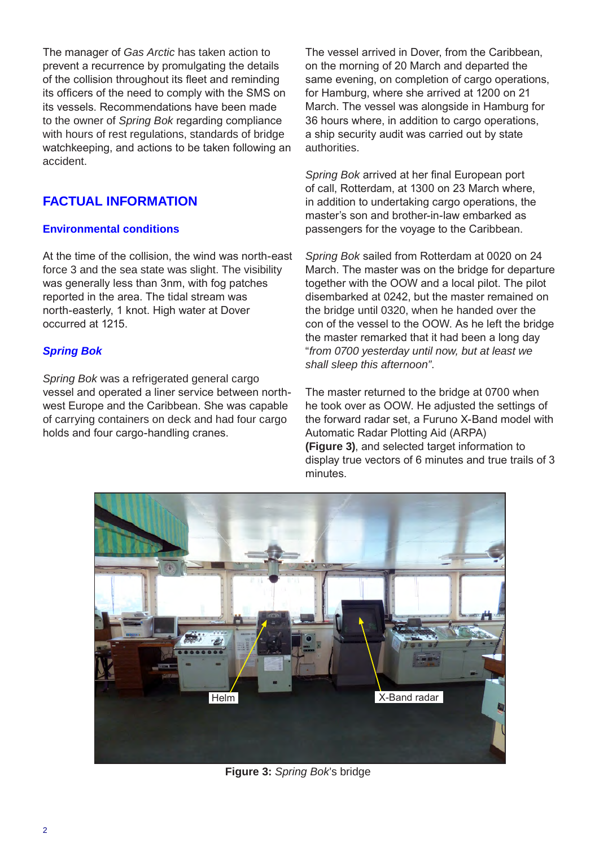The manager of *Gas Arctic* has taken action to prevent a recurrence by promulgating the details of the collision throughout its fleet and reminding its officers of the need to comply with the SMS on its vessels. Recommendations have been made to the owner of *Spring Bok* regarding compliance with hours of rest regulations, standards of bridge watchkeeping, and actions to be taken following an accident.

# **FACTUAL INFORMATION**

# **Environmental conditions**

At the time of the collision, the wind was north-east force 3 and the sea state was slight. The visibility was generally less than 3nm, with fog patches reported in the area. The tidal stream was north-easterly, 1 knot. High water at Dover occurred at 1215.

# *Spring Bok*

*Spring Bok* was a refrigerated general cargo vessel and operated a liner service between northwest Europe and the Caribbean. She was capable of carrying containers on deck and had four cargo holds and four cargo-handling cranes.

The vessel arrived in Dover, from the Caribbean, on the morning of 20 March and departed the same evening, on completion of cargo operations, for Hamburg, where she arrived at 1200 on 21 March. The vessel was alongside in Hamburg for 36 hours where, in addition to cargo operations, a ship security audit was carried out by state authorities.

*Spring Bok* arrived at her final European port of call, Rotterdam, at 1300 on 23 March where, in addition to undertaking cargo operations, the master's son and brother-in-law embarked as passengers for the voyage to the Caribbean.

*Spring Bok* sailed from Rotterdam at 0020 on 24 March. The master was on the bridge for departure together with the OOW and a local pilot. The pilot disembarked at 0242, but the master remained on the bridge until 0320, when he handed over the con of the vessel to the OOW. As he left the bridge the master remarked that it had been a long day "*from 0700 yesterday until now, but at least we shall sleep this afternoon"*.

The master returned to the bridge at 0700 when he took over as OOW. He adjusted the settings of the forward radar set, a Furuno X-Band model with Automatic Radar Plotting Aid (ARPA) **(Figure 3)**, and selected target information to display true vectors of 6 minutes and true trails of 3 minutes.



**Figure 3:** *Spring Bok*'s bridge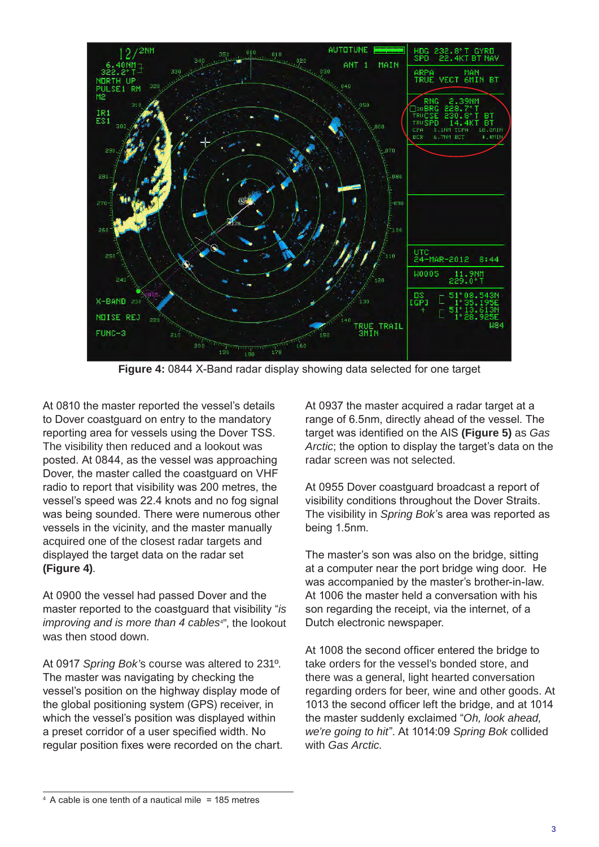

**Figure 4:** 0844 X-Band radar display showing data selected for one target

At 0810 the master reported the vessel's details to Dover coastguard on entry to the mandatory reporting area for vessels using the Dover TSS. The visibility then reduced and a lookout was posted. At 0844, as the vessel was approaching Dover, the master called the coastguard on VHF radio to report that visibility was 200 metres, the vessel's speed was 22.4 knots and no fog signal was being sounded. There were numerous other vessels in the vicinity, and the master manually acquired one of the closest radar targets and displayed the target data on the radar set **(Figure 4)**.

At 0900 the vessel had passed Dover and the master reported to the coastguard that visibility "*is*  improving and is more than 4 cables<sup>4"</sup>, the lookout was then stood down.

At 0917 *Spring Bok'*s course was altered to 231º. The master was navigating by checking the vessel's position on the highway display mode of the global positioning system (GPS) receiver, in which the vessel's position was displayed within a preset corridor of a user specified width. No regular position fixes were recorded on the chart. At 0937 the master acquired a radar target at a range of 6.5nm, directly ahead of the vessel. The target was identified on the AIS **(Figure 5)** as *Gas Arctic*; the option to display the target's data on the radar screen was not selected.

At 0955 Dover coastguard broadcast a report of visibility conditions throughout the Dover Straits. The visibility in *Spring Bok*'s area was reported as being 1.5nm.

The master's son was also on the bridge, sitting at a computer near the port bridge wing door. He was accompanied by the master's brother-in-law. At 1006 the master held a conversation with his son regarding the receipt, via the internet, of a Dutch electronic newspaper.

At 1008 the second officer entered the bridge to take orders for the vessel's bonded store, and there was a general, light hearted conversation regarding orders for beer, wine and other goods. At 1013 the second officer left the bridge, and at 1014 the master suddenly exclaimed "*Oh, look ahead, we're going to hit*". At 1014:09 *Spring Bok* collided with *Gas Arctic.*

 $4$  A cable is one tenth of a nautical mile = 185 metres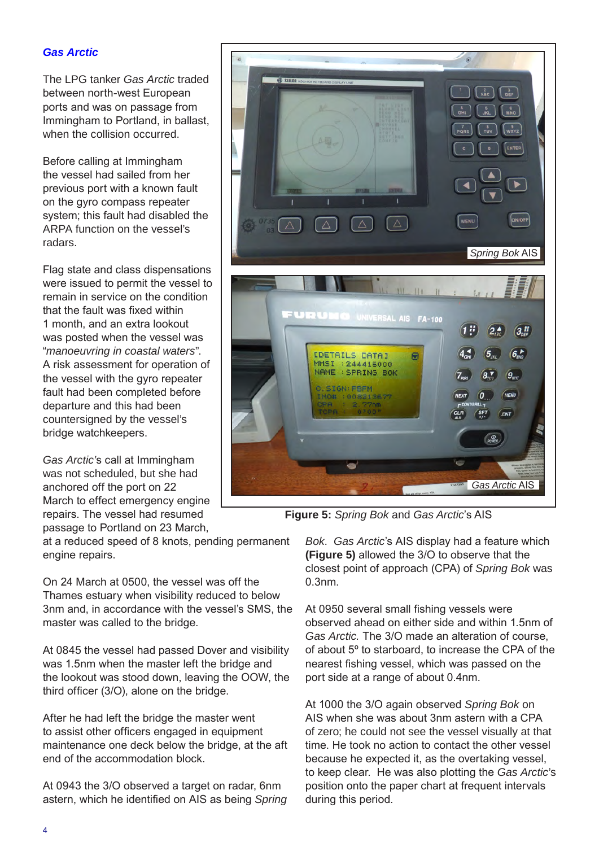# *Gas Arctic*

The LPG tanker *Gas Arctic* traded between north-west European ports and was on passage from Immingham to Portland, in ballast, when the collision occurred.

Before calling at Immingham the vessel had sailed from her previous port with a known fault on the gyro compass repeater system; this fault had disabled the ARPA function on the vessel's radars.

Flag state and class dispensations were issued to permit the vessel to remain in service on the condition that the fault was fixed within 1 month, and an extra lookout was posted when the vessel was "*manoeuvring in coastal waters*". A risk assessment for operation of the vessel with the gyro repeater fault had been completed before departure and this had been countersigned by the vessel's bridge watchkeepers.

*Gas Arctic'*s call at Immingham was not scheduled, but she had anchored off the port on 22 March to effect emergency engine repairs. The vessel had resumed passage to Portland on 23 March,

at a reduced speed of 8 knots, pending permanent engine repairs.

On 24 March at 0500, the vessel was off the Thames estuary when visibility reduced to below 3nm and, in accordance with the vessel's SMS, the master was called to the bridge.

At 0845 the vessel had passed Dover and visibility was 1.5nm when the master left the bridge and the lookout was stood down, leaving the OOW, the third officer (3/O), alone on the bridge.

After he had left the bridge the master went to assist other officers engaged in equipment maintenance one deck below the bridge, at the aft end of the accommodation block.

At 0943 the 3/O observed a target on radar, 6nm astern, which he identified on AIS as being *Spring* 



**Figure 5:** *Spring Bok* and *Gas Arctic*'s AIS

*Bok*. *Gas Arctic*'s AIS display had a feature which **(Figure 5)** allowed the 3/O to observe that the closest point of approach (CPA) of *Spring Bok* was 0.3nm.

At 0950 several small fishing vessels were observed ahead on either side and within 1.5nm of *Gas Arctic.* The 3/O made an alteration of course, of about 5º to starboard, to increase the CPA of the nearest fishing vessel, which was passed on the port side at a range of about 0.4nm.

At 1000 the 3/O again observed *Spring Bok* on AIS when she was about 3nm astern with a CPA of zero; he could not see the vessel visually at that time. He took no action to contact the other vessel because he expected it, as the overtaking vessel, to keep clear. He was also plotting the *Gas Arctic*'s position onto the paper chart at frequent intervals during this period.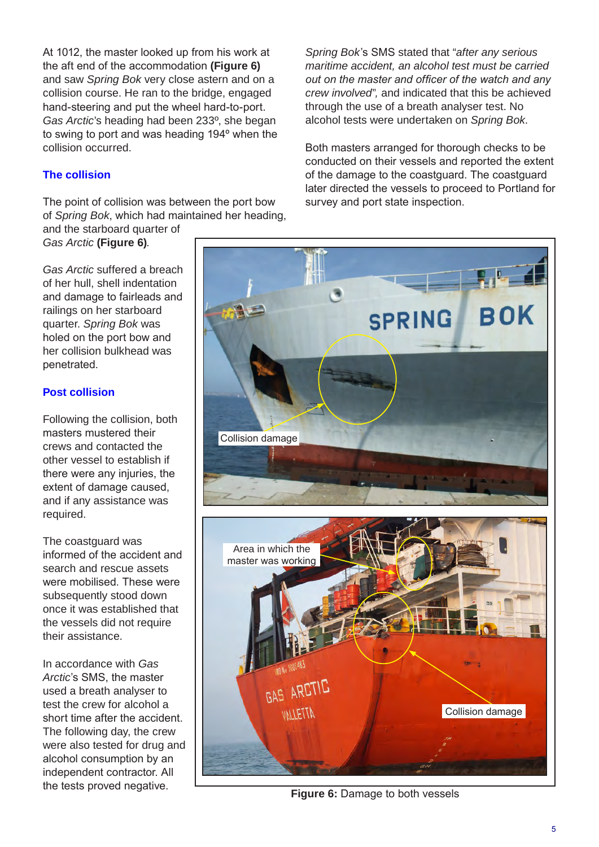At 1012, the master looked up from his work at the aft end of the accommodation **(Figure 6)** and saw *Spring Bok* very close astern and on a collision course. He ran to the bridge, engaged hand-steering and put the wheel hard-to-port. *Gas Arctic*'s heading had been 233º, she began to swing to port and was heading 194º when the collision occurred.

# **The collision**

The point of collision was between the port bow of *Spring Bok*, which had maintained her heading,

and the starboard quarter of *Gas Arctic* **(Figure 6)***.* 

*Gas Arctic* suffered a breach of her hull, shell indentation and damage to fairleads and railings on her starboard quarter. *Spring Bok* was holed on the port bow and her collision bulkhead was penetrated.

# **Post collision**

Following the collision, both masters mustered their crews and contacted the other vessel to establish if there were any injuries, the extent of damage caused, and if any assistance was required.

The coastguard was informed of the accident and search and rescue assets were mobilised. These were subsequently stood down once it was established that the vessels did not require their assistance.

In accordance with *Gas Arctic*'s SMS, the master used a breath analyser to test the crew for alcohol a short time after the accident. The following day, the crew were also tested for drug and alcohol consumption by an independent contractor. All the tests proved negative.

*Spring Bok*'s SMS stated that "*after any serious maritime accident, an alcohol test must be carried out on the master and officer of the watch and any crew involved*"*,* and indicated that this be achieved through the use of a breath analyser test. No alcohol tests were undertaken on *Spring Bok*.

Both masters arranged for thorough checks to be conducted on their vessels and reported the extent of the damage to the coastguard. The coastguard later directed the vessels to proceed to Portland for survey and port state inspection.



**Figure 6:** Damage to both vessels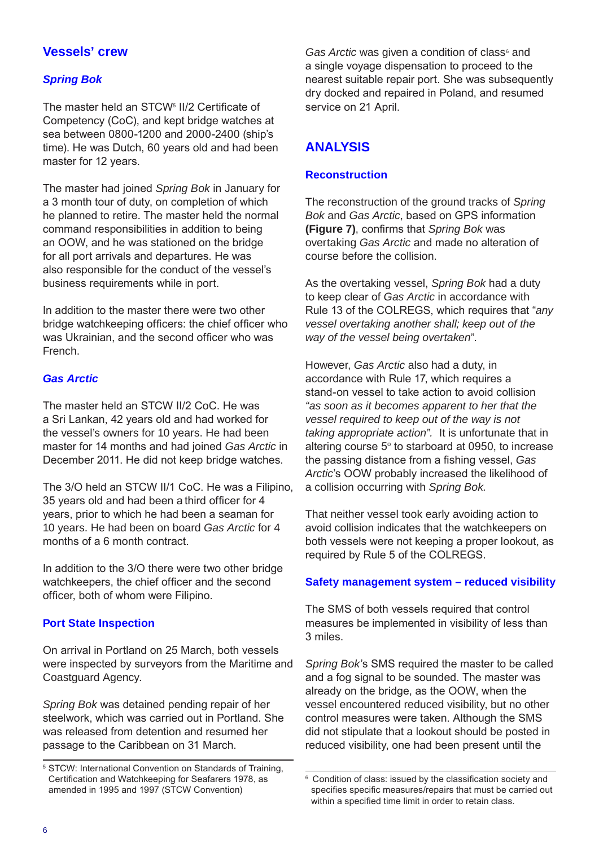# **Vessels' crew**

# *Spring Bok*

The master held an STCW<sup>5</sup> II/2 Certificate of Competency (CoC), and kept bridge watches at sea between 0800-1200 and 2000-2400 (ship's time). He was Dutch, 60 years old and had been master for 12 years.

The master had joined *Spring Bok* in January for a 3 month tour of duty, on completion of which he planned to retire. The master held the normal command responsibilities in addition to being an OOW, and he was stationed on the bridge for all port arrivals and departures. He was also responsible for the conduct of the vessel's business requirements while in port.

In addition to the master there were two other bridge watchkeeping officers: the chief officer who was Ukrainian, and the second officer who was French.

# *Gas Arctic*

The master held an STCW II/2 CoC. He was a Sri Lankan, 42 years old and had worked for the vessel's owners for 10 years. He had been master for 14 months and had joined *Gas Arctic* in December 2011. He did not keep bridge watches.

The 3/O held an STCW II/1 CoC. He was a Filipino, 35 years old and had been a third officer for 4 years, prior to which he had been a seaman for 10 years. He had been on board *Gas Arctic* for 4 months of a 6 month contract.

In addition to the 3/O there were two other bridge watchkeepers, the chief officer and the second officer, both of whom were Filipino.

#### **Port State Inspection**

On arrival in Portland on 25 March, both vessels were inspected by surveyors from the Maritime and Coastguard Agency.

*Spring Bok* was detained pending repair of her steelwork, which was carried out in Portland. She was released from detention and resumed her passage to the Caribbean on 31 March.

Gas Arctic was given a condition of class<sup>®</sup> and a single voyage dispensation to proceed to the nearest suitable repair port. She was subsequently dry docked and repaired in Poland, and resumed service on 21 April.

# **ANALYSIS**

### **Reconstruction**

The reconstruction of the ground tracks of *Spring Bok* and *Gas Arctic*, based on GPS information **(Figure 7)**, confirms that *Spring Bok* was overtaking *Gas Arctic* and made no alteration of course before the collision.

As the overtaking vessel, *Spring Bok* had a duty to keep clear of *Gas Arctic* in accordance with Rule 13 of the COLREGS, which requires that "*any vessel overtaking another shall; keep out of the way of the vessel being overtaken*".

However, *Gas Arctic* also had a duty, in accordance with Rule 17, which requires a stand-on vessel to take action to avoid collision *"as soon as it becomes apparent to her that the vessel required to keep out of the way is not taking appropriate action".* It is unfortunate that in altering course  $5^{\circ}$  to starboard at 0950, to increase the passing distance from a fishing vessel, *Gas Arctic*'s OOW probably increased the likelihood of a collision occurring with *Spring Bok.* 

That neither vessel took early avoiding action to avoid collision indicates that the watchkeepers on both vessels were not keeping a proper lookout, as required by Rule 5 of the COLREGS.

#### **Safety management system – reduced visibility**

The SMS of both vessels required that control measures be implemented in visibility of less than 3 miles.

*Spring Bok*'s SMS required the master to be called and a fog signal to be sounded. The master was already on the bridge, as the OOW, when the vessel encountered reduced visibility, but no other control measures were taken. Although the SMS did not stipulate that a lookout should be posted in reduced visibility, one had been present until the

<sup>5</sup> STCW: International Convention on Standards of Training, Certification and Watchkeeping for Seafarers 1978, as amended in 1995 and 1997 (STCW Convention)

<sup>&</sup>lt;sup>6</sup> Condition of class: issued by the classification society and specifies specific measures/repairs that must be carried out within a specified time limit in order to retain class.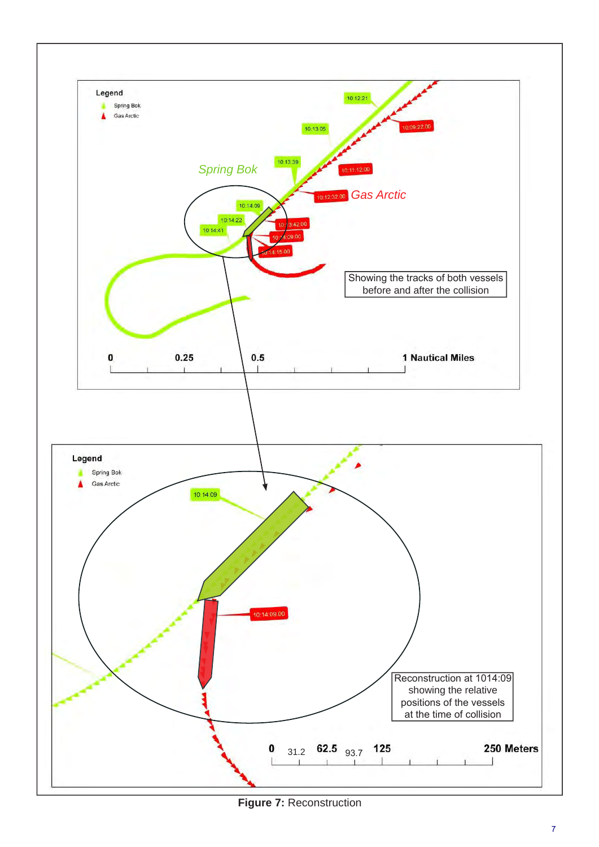

**Figure 7:** Reconstruction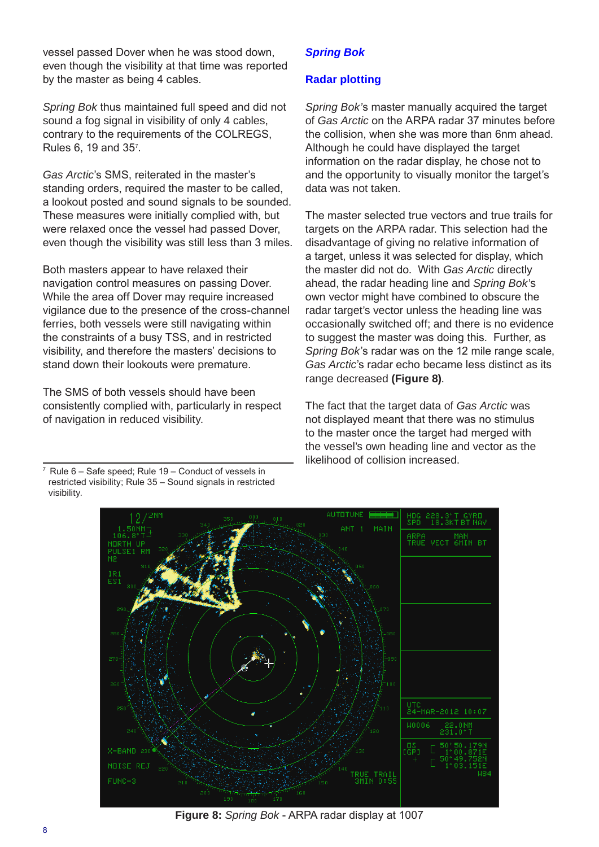vessel passed Dover when he was stood down, even though the visibility at that time was reported by the master as being 4 cables.

*Spring Bok* thus maintained full speed and did not sound a fog signal in visibility of only 4 cables, contrary to the requirements of the COLREGS, Rules 6, 19 and 357 .

*Gas Arctic*'s SMS, reiterated in the master's standing orders, required the master to be called, a lookout posted and sound signals to be sounded. These measures were initially complied with, but were relaxed once the vessel had passed Dover, even though the visibility was still less than 3 miles.

Both masters appear to have relaxed their navigation control measures on passing Dover. While the area off Dover may require increased vigilance due to the presence of the cross-channel ferries, both vessels were still navigating within the constraints of a busy TSS, and in restricted visibility, and therefore the masters' decisions to stand down their lookouts were premature.

The SMS of both vessels should have been consistently complied with, particularly in respect of navigation in reduced visibility.

Rule 6 – Safe speed; Rule 19 – Conduct of vessels in restricted visibility; Rule 35 – Sound signals in restricted visibility.

# *Spring Bok*

# **Radar plotting**

*Spring Bok'*s master manually acquired the target of *Gas Arctic* on the ARPA radar 37 minutes before the collision, when she was more than 6nm ahead. Although he could have displayed the target information on the radar display, he chose not to and the opportunity to visually monitor the target's data was not taken.

The master selected true vectors and true trails for targets on the ARPA radar. This selection had the disadvantage of giving no relative information of a target, unless it was selected for display, which the master did not do. With *Gas Arctic* directly ahead, the radar heading line and *Spring Bok*'s own vector might have combined to obscure the radar target's vector unless the heading line was occasionally switched off; and there is no evidence to suggest the master was doing this. Further, as *Spring Bok*'s radar was on the 12 mile range scale, *Gas Arctic*'s radar echo became less distinct as its range decreased **(Figure 8)**.

The fact that the target data of *Gas Arctic* was not displayed meant that there was no stimulus to the master once the target had merged with the vessel's own heading line and vector as the likelihood of collision increased.



**Figure 8:** *Spring Bok* - ARPA radar display at 1007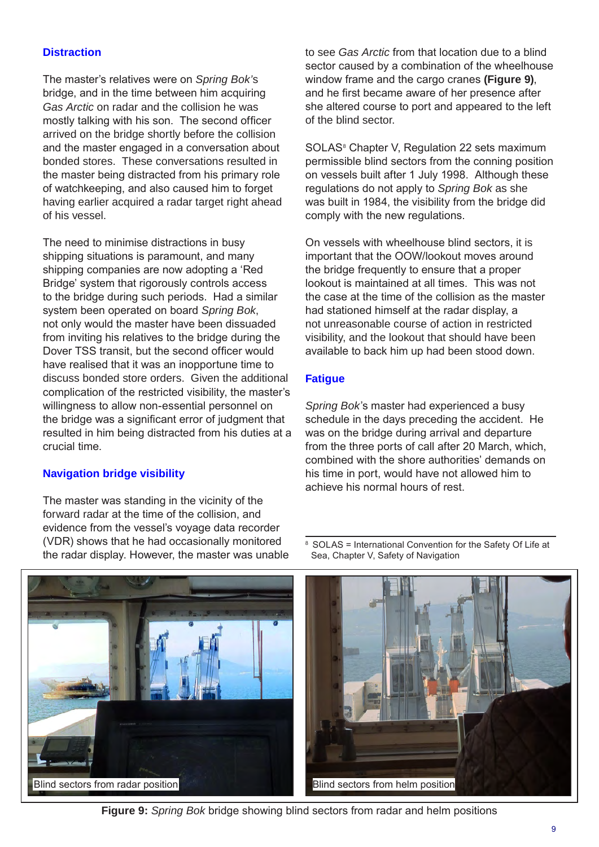# **Distraction**

The master's relatives were on *Spring Bok'*s bridge, and in the time between him acquiring *Gas Arctic* on radar and the collision he was mostly talking with his son. The second officer arrived on the bridge shortly before the collision and the master engaged in a conversation about bonded stores. These conversations resulted in the master being distracted from his primary role of watchkeeping, and also caused him to forget having earlier acquired a radar target right ahead of his vessel.

The need to minimise distractions in busy shipping situations is paramount, and many shipping companies are now adopting a 'Red Bridge' system that rigorously controls access to the bridge during such periods. Had a similar system been operated on board *Spring Bok*, not only would the master have been dissuaded from inviting his relatives to the bridge during the Dover TSS transit, but the second officer would have realised that it was an inopportune time to discuss bonded store orders. Given the additional complication of the restricted visibility, the master's willingness to allow non-essential personnel on the bridge was a significant error of judgment that resulted in him being distracted from his duties at a crucial time.

## **Navigation bridge visibility**

The master was standing in the vicinity of the forward radar at the time of the collision, and evidence from the vessel's voyage data recorder (VDR) shows that he had occasionally monitored the radar display. However, the master was unable to see *Gas Arctic* from that location due to a blind sector caused by a combination of the wheelhouse window frame and the cargo cranes **(Figure 9)**, and he first became aware of her presence after she altered course to port and appeared to the left of the blind sector.

 $SOLAS<sup>8</sup>$  Chapter V, Regulation 22 sets maximum permissible blind sectors from the conning position on vessels built after 1 July 1998. Although these regulations do not apply to *Spring Bok* as she was built in 1984, the visibility from the bridge did comply with the new regulations.

On vessels with wheelhouse blind sectors, it is important that the OOW/lookout moves around the bridge frequently to ensure that a proper lookout is maintained at all times. This was not the case at the time of the collision as the master had stationed himself at the radar display, a not unreasonable course of action in restricted visibility, and the lookout that should have been available to back him up had been stood down.

# **Fatigue**

*Spring Bok*'s master had experienced a busy schedule in the days preceding the accident. He was on the bridge during arrival and departure from the three ports of call after 20 March, which, combined with the shore authorities' demands on his time in port, would have not allowed him to achieve his normal hours of rest.



<sup>8</sup> SOLAS = International Convention for the Safety Of Life at Sea, Chapter V, Safety of Navigation

**Figure 9:** *Spring Bok* bridge showing blind sectors from radar and helm positions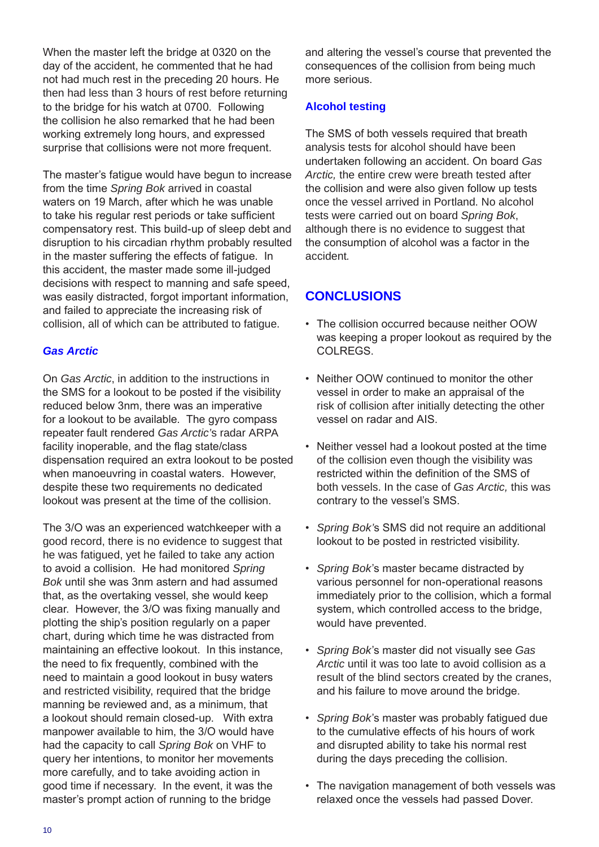When the master left the bridge at 0320 on the day of the accident, he commented that he had not had much rest in the preceding 20 hours. He then had less than 3 hours of rest before returning to the bridge for his watch at 0700. Following the collision he also remarked that he had been working extremely long hours, and expressed surprise that collisions were not more frequent.

The master's fatigue would have begun to increase from the time *Spring Bok* arrived in coastal waters on 19 March, after which he was unable to take his regular rest periods or take sufficient compensatory rest. This build-up of sleep debt and disruption to his circadian rhythm probably resulted in the master suffering the effects of fatigue. In this accident, the master made some ill-judged decisions with respect to manning and safe speed, was easily distracted, forgot important information, and failed to appreciate the increasing risk of collision, all of which can be attributed to fatigue.

# *Gas Arctic*

On *Gas Arctic*, in addition to the instructions in the SMS for a lookout to be posted if the visibility reduced below 3nm, there was an imperative for a lookout to be available. The gyro compass repeater fault rendered *Gas Arctic'*s radar ARPA facility inoperable, and the flag state/class dispensation required an extra lookout to be posted when manoeuvring in coastal waters. However, despite these two requirements no dedicated lookout was present at the time of the collision.

The 3/O was an experienced watchkeeper with a good record, there is no evidence to suggest that he was fatigued, yet he failed to take any action to avoid a collision. He had monitored *Spring Bok* until she was 3nm astern and had assumed that, as the overtaking vessel, she would keep clear. However, the 3/O was fixing manually and plotting the ship's position regularly on a paper chart, during which time he was distracted from maintaining an effective lookout. In this instance, the need to fix frequently, combined with the need to maintain a good lookout in busy waters and restricted visibility, required that the bridge manning be reviewed and, as a minimum, that a lookout should remain closed-up. With extra manpower available to him, the 3/O would have had the capacity to call *Spring Bok* on VHF to query her intentions, to monitor her movements more carefully, and to take avoiding action in good time if necessary. In the event, it was the master's prompt action of running to the bridge

and altering the vessel's course that prevented the consequences of the collision from being much more serious.

# **Alcohol testing**

The SMS of both vessels required that breath analysis tests for alcohol should have been undertaken following an accident. On board *Gas Arctic,* the entire crew were breath tested after the collision and were also given follow up tests once the vessel arrived in Portland. No alcohol tests were carried out on board *Spring Bok*, although there is no evidence to suggest that the consumption of alcohol was a factor in the accident*.*

# **CONCLUSIONS**

- The collision occurred because neither OOW was keeping a proper lookout as required by the COLREGS.
- Neither OOW continued to monitor the other vessel in order to make an appraisal of the risk of collision after initially detecting the other vessel on radar and AIS.
- Neither vessel had a lookout posted at the time of the collision even though the visibility was restricted within the definition of the SMS of both vessels. In the case of *Gas Arctic,* this was contrary to the vessel's SMS.
- *• Spring Bok'*s SMS did not require an additional lookout to be posted in restricted visibility.
- *• Spring Bok*'s master became distracted by various personnel for non-operational reasons immediately prior to the collision, which a formal system, which controlled access to the bridge, would have prevented.
- *• Spring Bok*'s master did not visually see *Gas Arctic* until it was too late to avoid collision as a result of the blind sectors created by the cranes, and his failure to move around the bridge.
- *• Spring Bok*'s master was probably fatigued due to the cumulative effects of his hours of work and disrupted ability to take his normal rest during the days preceding the collision.
- The navigation management of both vessels was relaxed once the vessels had passed Dover.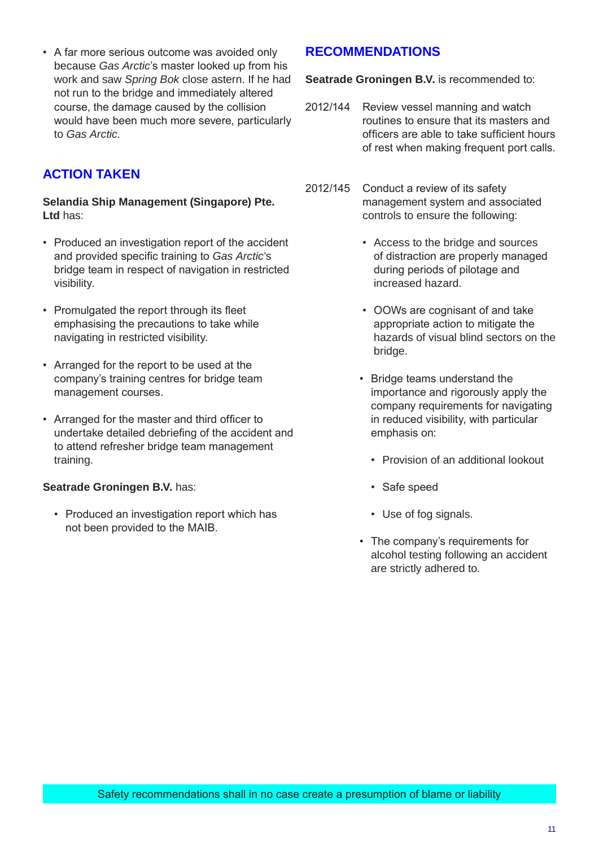• A far more serious outcome was avoided only because *Gas Arctic*'s master looked up from his work and saw *Spring Bok* close astern. If he had not run to the bridge and immediately altered course, the damage caused by the collision would have been much more severe, particularly to *Gas Arctic.*

# **ACTION TAKEN**

# **Selandia Ship Management (Singapore) Pte. Ltd** has:

- Produced an investigation report of the accident and provided specific training to *Gas Arctic*'s bridge team in respect of navigation in restricted visibility.
- Promulgated the report through its fleet emphasising the precautions to take while navigating in restricted visibility.
- Arranged for the report to be used at the company's training centres for bridge team management courses.
- Arranged for the master and third officer to undertake detailed debriefing of the accident and to attend refresher bridge team management training.

## **Seatrade Groningen B.V.** has:

• Produced an investigation report which has not been provided to the MAIB.

# **RECOMMENDATIONS**

## **Seatrade Groningen B.V.** is recommended to:

- 2012/144 Review vessel manning and watch routines to ensure that its masters and officers are able to take sufficient hours of rest when making frequent port calls.
- 2012/145 Conduct a review of its safety management system and associated controls to ensure the following:
	- Access to the bridge and sources of distraction are properly managed during periods of pilotage and increased hazard.
	- OOWs are cognisant of and take appropriate action to mitigate the hazards of visual blind sectors on the bridge.
	- Bridge teams understand the importance and rigorously apply the company requirements for navigating in reduced visibility, with particular emphasis on:
		- Provision of an additional lookout
		- Safe speed
		- Use of fog signals.
	- The company's requirements for alcohol testing following an accident are strictly adhered to.